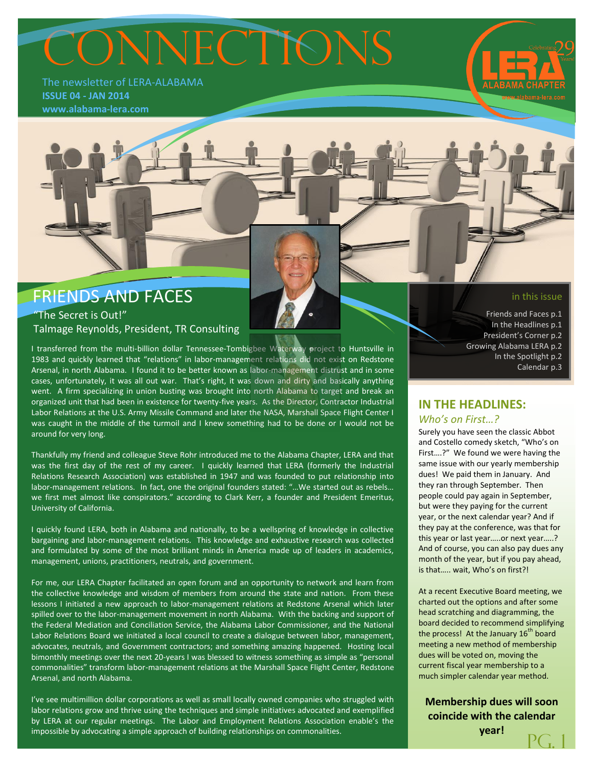# CONNECTIONS

The newsletter of LERA-ALABAMA **ISSUE 04 - JAN 2014 www.alabama-lera.com**

## FRIENDS AND FACES "The Secret is Out!"

Talmage Reynolds, President, TR Consulting

I transferred from the multi-billion dollar Tennessee-Tombigbee Waterway project to Huntsville in 1983 and quickly learned that "relations" in labor-management relations did not exist on Redstone Arsenal, in north Alabama. I found it to be better known as labor-management distrust and in some cases, unfortunately, it was all out war. That's right, it was down and dirty and basically anything went. A firm specializing in union busting was brought into north Alabama to target and break an organized unit that had been in existence for twenty-five years. As the Director, Contractor Industrial Labor Relations at the U.S. Army Missile Command and later the NASA, Marshall Space Flight Center I was caught in the middle of the turmoil and I knew something had to be done or I would not be around for very long.

Thankfully my friend and colleague Steve Rohr introduced me to the Alabama Chapter, LERA and that was the first day of the rest of my career. I quickly learned that LERA (formerly the Industrial Relations Research Association) was established in 1947 and was founded to put relationship into labor-management relations. In fact, one the original founders stated: "...We started out as rebels... we first met almost like conspirators." according to Clark Kerr, a founder and President Emeritus, University of California.

I quickly found LERA, both in Alabama and nationally, to be a wellspring of knowledge in collective bargaining and labor-management relations. This knowledge and exhaustive research was collected and formulated by some of the most brilliant minds in America made up of leaders in academics, management, unions, practitioners, neutrals, and government.

For me, our LERA Chapter facilitated an open forum and an opportunity to network and learn from the collective knowledge and wisdom of members from around the state and nation. From these lessons I initiated a new approach to labor-management relations at Redstone Arsenal which later spilled over to the labor-management movement in north Alabama. With the backing and support of the Federal Mediation and Conciliation Service, the Alabama Labor Commissioner, and the National Labor Relations Board we initiated a local council to create a dialogue between labor, management, advocates, neutrals, and Government contractors; and something amazing happened. Hosting local bimonthly meetings over the next 20-years I was blessed to witness something as simple as "personal commonalities" transform labor-management relations at the Marshall Space Flight Center, Redstone Arsenal, and north Alabama.

I've see multimillion dollar corporations as well as small locally owned companies who struggled with labor relations grow and thrive using the techniques and simple initiatives advocated and exemplified by LERA at our regular meetings. The Labor and Employment Relations Association enable's the impossible by advocating a simple approach of building relationships on commonalities.

in this issue

Friends and Faces p.1 In the Headlines p.1 President's Corner p.2 Growing Alabama LERA p.2 In the Spotlight p.2 Calendar p.3

#### **IN THE HEADLINES:** *Who's on First…?*

Surely you have seen the classic Abbot and Costello comedy sketch, "Who's on First….?" We found we were having the same issue with our yearly membership dues! We paid them in January. And they ran through September. Then people could pay again in September, but were they paying for the current year, or the next calendar year? And if they pay at the conference, was that for this year or last year…..or next year…..? And of course, you can also pay dues any month of the year, but if you pay ahead, is that….. wait, Who's on first?!

At a recent Executive Board meeting, we charted out the options and after some head scratching and diagramming, the board decided to recommend simplifying the process! At the January  $16<sup>th</sup>$  board meeting a new method of membership dues will be voted on, moving the current fiscal year membership to a much simpler calendar year method.

**Membership dues will soon coincide with the calendar year!** PG. 1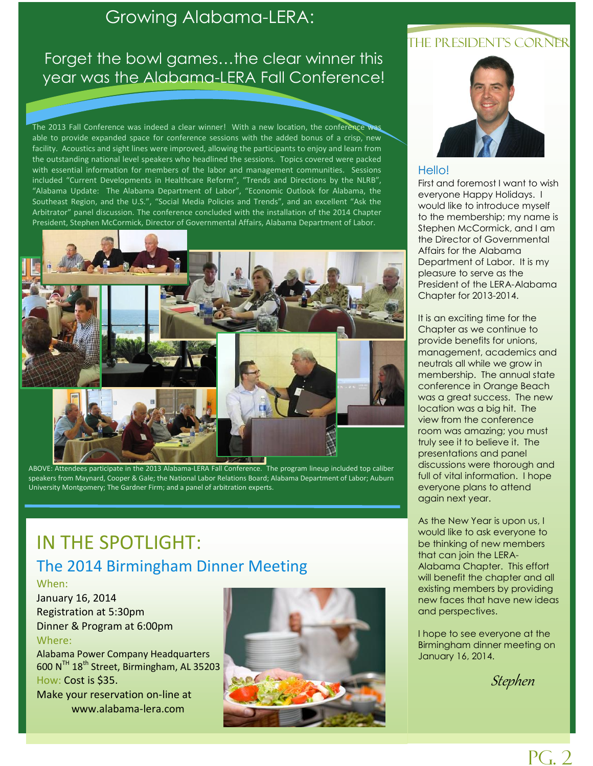## Growing Alabama-LERA:

## Forget the bowl games…the clear winner this year was the Alabama-LERA Fall Conference!

The 2013 Fall Conference was indeed a clear winner! With a new location, the conference was able to provide expanded space for conference sessions with the added bonus of a crisp, new facility. Acoustics and sight lines were improved, allowing the participants to enjoy and learn from the outstanding national level speakers who headlined the sessions. Topics covered were packed with essential information for members of the labor and management communities. Sessions included "Current Developments in Healthcare Reform", "Trends and Directions by the NLRB", "Alabama Update: The Alabama Department of Labor", "Economic Outlook for Alabama, the Southeast Region, and the U.S.", "Social Media Policies and Trends", and an excellent "Ask the Arbitrator" panel discussion. The conference concluded with the installation of the 2014 Chapter President, Stephen McCormick, Director of Governmental Affairs, Alabama Department of Labor.



ABOVE: Attendees participate in the 2013 Alabama-LERA Fall Conference. The program lineup included top caliber speakers from Maynard, Cooper & Gale; the National Labor Relations Board; Alabama Department of Labor; Auburn University Montgomery; The Gardner Firm; and a panel of arbitration experts.

# IN THE SPOTLIGHT: The 2014 Birmingham Dinner Meeting

#### When:

January 16, 2014 Registration at 5:30pm Dinner & Program at 6:00pm Where:

Alabama Power Company Headquarters 600 NTH 18th Street, Birmingham, AL 35203 How: Cost is \$35. Make your reservation on-line at

www.alabama-lera.com



### THE PRESIDENT'S CORNER



#### Hello!

First and foremost I want to wish everyone Happy Holidays. I would like to introduce myself to the membership; my name is Stephen McCormick, and I am the Director of Governmental Affairs for the Alabama Department of Labor. It is my pleasure to serve as the President of the LERA-Alabama Chapter for 2013-2014.

It is an exciting time for the Chapter as we continue to provide benefits for unions, management, academics and neutrals all while we grow in membership. The annual state conference in Orange Beach was a great success. The new location was a big hit. The view from the conference room was amazing; you must truly see it to believe it. The presentations and panel discussions were thorough and full of vital information. I hope everyone plans to attend again next year.

As the New Year is upon us, I would like to ask everyone to be thinking of new members that can join the LERA-Alabama Chapter. This effort will benefit the chapter and all existing members by providing new faces that have new ideas and perspectives.

I hope to see everyone at the Birmingham dinner meeting on January 16, 2014.

Stephen